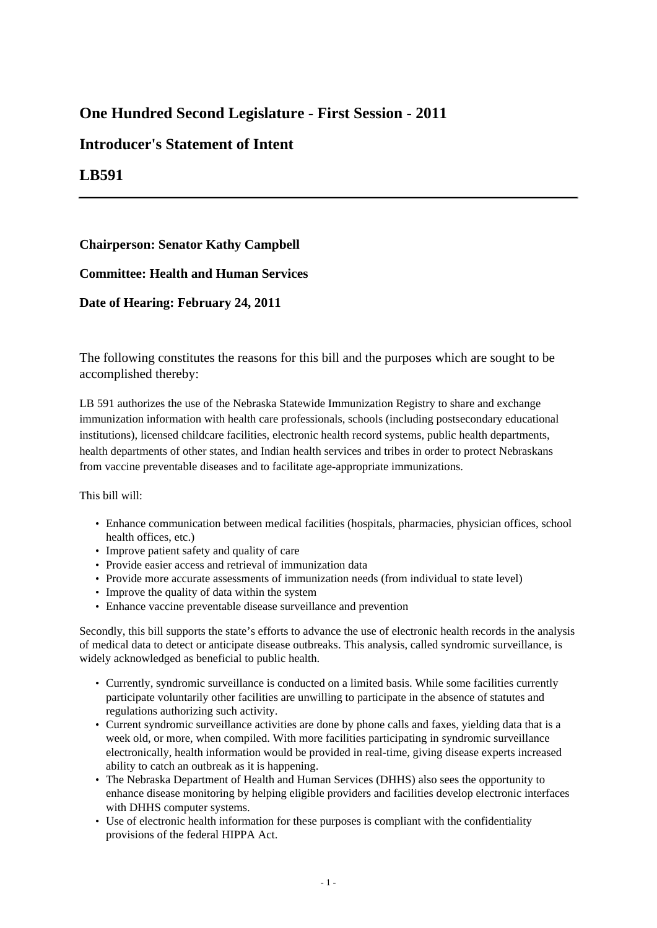## **One Hundred Second Legislature - First Session - 2011**

## **Introducer's Statement of Intent**

## **LB591**

**Chairperson: Senator Kathy Campbell**

**Committee: Health and Human Services**

**Date of Hearing: February 24, 2011**

The following constitutes the reasons for this bill and the purposes which are sought to be accomplished thereby:

LB 591 authorizes the use of the Nebraska Statewide Immunization Registry to share and exchange immunization information with health care professionals, schools (including postsecondary educational institutions), licensed childcare facilities, electronic health record systems, public health departments, health departments of other states, and Indian health services and tribes in order to protect Nebraskans from vaccine preventable diseases and to facilitate age-appropriate immunizations.

## This bill will:

- Enhance communication between medical facilities (hospitals, pharmacies, physician offices, school health offices, etc.)
- Improve patient safety and quality of care
- Provide easier access and retrieval of immunization data
- Provide more accurate assessments of immunization needs (from individual to state level)
- Improve the quality of data within the system
- Enhance vaccine preventable disease surveillance and prevention

Secondly, this bill supports the state's efforts to advance the use of electronic health records in the analysis of medical data to detect or anticipate disease outbreaks. This analysis, called syndromic surveillance, is widely acknowledged as beneficial to public health.

- Currently, syndromic surveillance is conducted on a limited basis. While some facilities currently participate voluntarily other facilities are unwilling to participate in the absence of statutes and regulations authorizing such activity.
- Current syndromic surveillance activities are done by phone calls and faxes, yielding data that is a week old, or more, when compiled. With more facilities participating in syndromic surveillance electronically, health information would be provided in real-time, giving disease experts increased ability to catch an outbreak as it is happening.
- The Nebraska Department of Health and Human Services (DHHS) also sees the opportunity to enhance disease monitoring by helping eligible providers and facilities develop electronic interfaces with DHHS computer systems.
- Use of electronic health information for these purposes is compliant with the confidentiality provisions of the federal HIPPA Act.